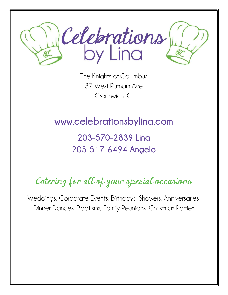

The Knights of Columbus 37 West Putnam Ave Greenwich, CT

www.celebrationsbylina.com

## 203-570-2839 Lina 203-517-6494 Angelo

# Catering for all of your special occasions

Weddings, Corporate Events, Birthdays, Showers, Anniversaries, Dinner Dances, Baptisms, Family Reunions, Christmas Parties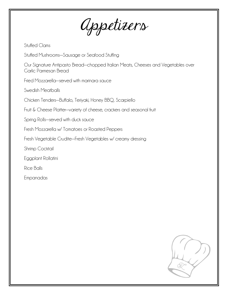Appetizers

Stuffed Clams

Stuffed Mushrooms—Sausage or Seafood Stuffing

Our Signature Antipasto Bread—chopped Italian Meats, Cheeses and Vegetables over Garlic Parmesan Bread

Fried Mozzarella—served with marinara sauce

Swedish Meatballs

Chicken Tenders—Buffalo, Teriyaki, Honey BBQ, Scarpiello

Fruit & Cheese Platter—variety of cheese, crackers and seasonal fruit

Spring Rolls—served with duck sauce

Fresh Mozzarella w/ Tomatoes or Roasted Peppers

Fresh Vegetable Crudite—Fresh Vegetables w/ creamy dressing

Shrimp Cocktail

Eggplant Rollatini

Rice Balls

Empanadas

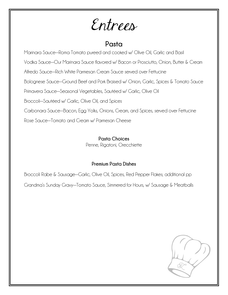Entrees

#### Pasta

Marinara Sauce—Roma Tomato pureed and cooked w/ Olive Oil, Garlic and Basil

Vodka Sauce—Our Marinara Sauce flavored w/ Bacon or Prosciutto, Onion, Butter & Cream

Alfredo Sauce—Rich White Parmesan Cream Sauce served over Fettucine

Bolognese Sauce—Ground Beef and Pork Braised w/ Onion, Garlic, Spices & Tomato Sauce

Primavera Sauce—Seasonal Vegetables, Sautéed w/ Garlic, Olive Oil

Broccoli—Sautéed w/ Garlic, Olive Oil, and Spices

Carbonara Sauce—Bacon, Egg Yolks, Onions, Cream, and Spices, served over Fettucine

Rose Sauce—Tomato and Cream w/ Parmesan Cheese

#### Pasta Choices

Penne, Rigatoni, Orecchiette

#### Premium Pasta Dishes

Broccoli Rabe & Sausage—Garlic, Olive Oil, Spices, Red Pepper Flakes; additional pp

Grandma's Sunday Gravy—Tomato Sauce, Simmered for Hours, w/ Sausage & Meatballs

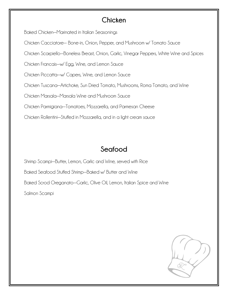#### **Chicken**

Baked Chicken—Marinated in Italian Seasonings

Chicken Cacciatore— Bone-in, Onion, Pepper, and Mushroom w/ Tomato Sauce

Chicken Scarpiello—Boneless Breast, Onion, Garlic, Vinegar Peppers, White Wine and Spices

Chicken Francais—w/ Egg, Wine, and Lemon Sauce

Chicken Piccatta—w/ Capers, Wine, and Lemon Sauce

Chicken Tuscana—Artichoke, Sun Dried Tomato, Mushrooms, Roma Tomato, and Wine

Chicken Marsala—Marsala Wine and Mushroom Sauce

Chicken Parmigiana—Tomatoes, Mozzarella, and Parmesan Cheese

Chicken Rollentini—Stuffed in Mozzarella, and in a light cream sauce

## Seafood

Shrimp Scampi—Butter, Lemon, Garlic and Wine, served with Rice Baked Seafood Stuffed Shrimp—Baked w/ Butter and Wine Baked Scrod Oreganato—Garlic, Olive Oil, Lemon, Italian Spice and Wine Salmon Scampi

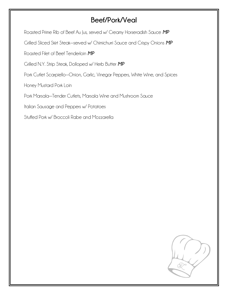### Beef/Pork/Veal

Roasted Prime Rib of Beef Au Jus, served w/ Creamy Horseradish Sauce MP

Grilled Sliced Skirt Steak—served w/ Chimichurri Sauce and Crispy Onions MP

Roasted Filet of Beef Tenderloin MP

Grilled N.Y. Strip Steak, Dolloped w/ Herb Butter MP

Pork Cutlet Scarpiello—Onion, Garlic, Vinegar Peppers, White Wine, and Spices

Honey Mustard Pork Loin

Pork Marsala—Tender Cutlets, Marsala Wine and Mushroom Sauce

Italian Sausage and Peppers w/ Potatoes

Stuffed Pork w/ Broccoli Rabe and Mozzarella

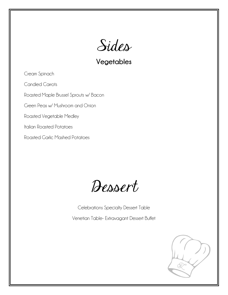

Vegetables

Cream Spinach

Candied Carrots

Roasted Maple Brussel Sprouts w/ Bacon

Green Peas w/ Mushroom and Onion

Roasted Vegetable Medley

Italian Roasted Potatoes

Roasted Garlic Mashed Potatoes

Dessert

Celebrations Specialty Dessert Table

Venetian Table- Extravagant Dessert Buffet

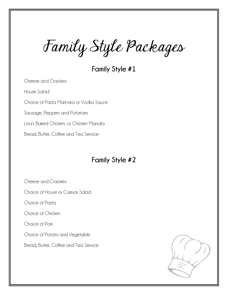Family Style Packages

Family Style #1

Cheese and Crackers House Salad Choice of Pasta Marinara or Vodka Sauce Sausage, Peppers and Potatoes Lina's Baked Chicken, or Chicken Marsala

Bread, Butter, Coffee and Tea Service

#### Family Style #2

Cheese and Crackers

Choice of House or Caesar Salad

Choice of Pasta

Choice of Chicken

Choice of Pork

Choice of Potato and Vegetable

Bread, Butter, Coffee and Tea Service

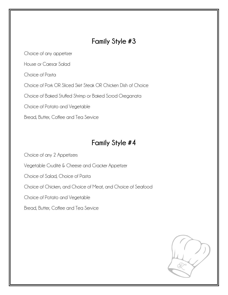#### Family Style #3

Choice of any appetizer

House or Caesar Salad

Choice of Pasta

Choice of Pork OR Sliced Skirt Steak OR Chicken Dish of Choice

Choice of Baked Stuffed Shrimp or Baked Scrod Oreganata

Choice of Potato and Vegetable

Bread, Butter, Coffee and Tea Service

#### Family Style #4

Choice of any 2 Appetizers

Vegetable Crudité & Cheese and Cracker Appetizer

Choice of Salad, Choice of Pasta

Choice of Chicken, and Choice of Meat, and Choice of Seafood

Choice of Potato and Vegetable

Bread, Butter, Coffee and Tea Service

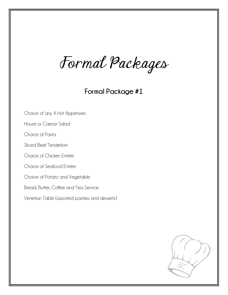Formal Packages

Formal Package #1

Choice of any 4 Hot Appetizers

House or Caesar Salad

Choice of Pasta

Sliced Beef Tenderloin

Choice of Chicken Entrée

Choice of Seafood Entrée

Choice of Potato and Vegetable

Bread, Butter, Coffee and Tea Service

Venetian Table (assorted pastries and desserts)

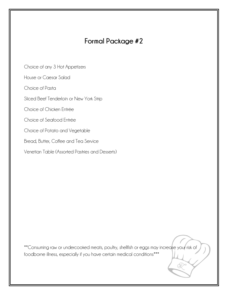### Formal Package #2

Choice of any 3 Hot Appetizers

House or Caesar Salad

Choice of Pasta

Sliced Beef Tenderloin or New York Strip

Choice of Chicken Entrée

Choice of Seafood Entrée

Choice of Potato and Vegetable

Bread, Butter, Coffee and Tea Service

Venetian Table (Assorted Pastries and Desserts)

\*\*Consuming raw or undercooked meats, poultry, shellfish or eggs may increase your risk of foodborne illness, especially if you have certain medical conditions\*\*\*